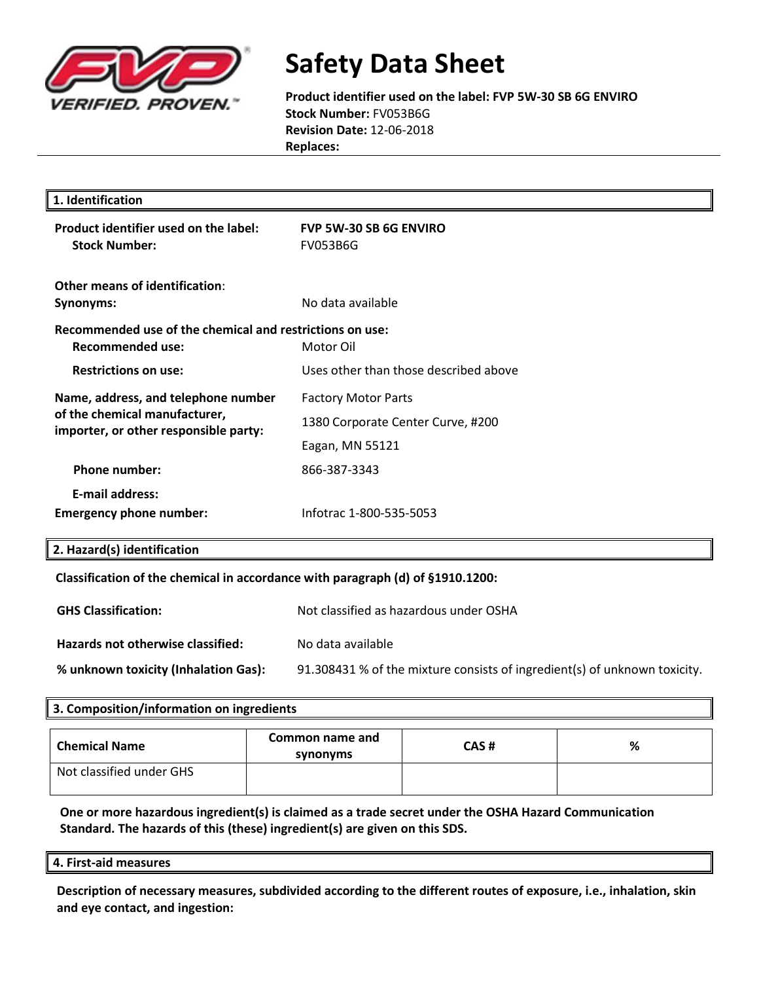

**Product identifier used on the label: FVP 5W-30 SB 6G ENVIRO Stock Number:** FV053B6G **Revision Date:** 12-06-2018 **Replaces:** 

| 1. Identification                                                                                             |                                                  |  |
|---------------------------------------------------------------------------------------------------------------|--------------------------------------------------|--|
| Product identifier used on the label:<br><b>Stock Number:</b>                                                 | <b>FVP 5W-30 SB 6G ENVIRO</b><br><b>FV053B6G</b> |  |
| Other means of identification:<br><b>Synonyms:</b>                                                            | No data available                                |  |
| Recommended use of the chemical and restrictions on use:<br><b>Recommended use:</b>                           | Motor Oil                                        |  |
| <b>Restrictions on use:</b>                                                                                   | Uses other than those described above            |  |
| Name, address, and telephone number<br>of the chemical manufacturer,<br>importer, or other responsible party: | <b>Factory Motor Parts</b>                       |  |
|                                                                                                               | 1380 Corporate Center Curve, #200                |  |
|                                                                                                               | Eagan, MN 55121                                  |  |
| <b>Phone number:</b>                                                                                          | 866-387-3343                                     |  |
| <b>E-mail address:</b>                                                                                        |                                                  |  |
| <b>Emergency phone number:</b>                                                                                | Infotrac 1-800-535-5053                          |  |
| 2. Hazard(s) identification                                                                                   |                                                  |  |
| Classification of the chemical in accordance with paragraph (d) of §1910.1200:                                |                                                  |  |
| <b>GHS Classification:</b>                                                                                    | Not classified as hazardous under OSHA           |  |

| Hazards not otherwise classified: | No data available |  |
|-----------------------------------|-------------------|--|
|                                   |                   |  |

**% unknown toxicity (Inhalation Gas):** 91.308431 % of the mixture consists of ingredient(s) of unknown toxicity.

# **3. Composition/information on ingredients Chemical Name Common name and synonyms CAS # %** Not classified under GHS

**One or more hazardous ingredient(s) is claimed as a trade secret under the OSHA Hazard Communication Standard. The hazards of this (these) ingredient(s) are given on this SDS.**

**4. First-aid measures**

**Description of necessary measures, subdivided according to the different routes of exposure, i.e., inhalation, skin and eye contact, and ingestion:**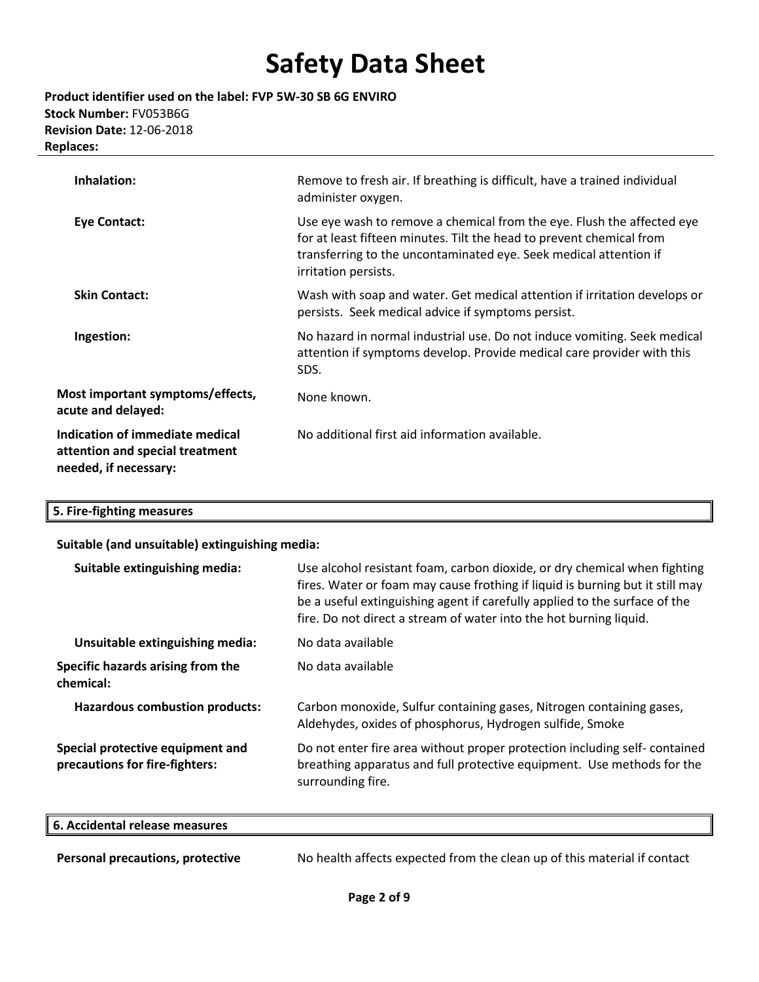**Product identifier used on the label: FVP 5W-30 SB 6G ENVIRO Stock Number:** FV053B6G **Revision Date:** 12-06-2018 **Replaces:** 

| Inhalation:                                                                                 | Remove to fresh air. If breathing is difficult, have a trained individual<br>administer oxygen.                                                                                                                                             |
|---------------------------------------------------------------------------------------------|---------------------------------------------------------------------------------------------------------------------------------------------------------------------------------------------------------------------------------------------|
| <b>Eye Contact:</b>                                                                         | Use eye wash to remove a chemical from the eye. Flush the affected eye<br>for at least fifteen minutes. Tilt the head to prevent chemical from<br>transferring to the uncontaminated eye. Seek medical attention if<br>irritation persists. |
| <b>Skin Contact:</b>                                                                        | Wash with soap and water. Get medical attention if irritation develops or<br>persists. Seek medical advice if symptoms persist.                                                                                                             |
| Ingestion:                                                                                  | No hazard in normal industrial use. Do not induce vomiting. Seek medical<br>attention if symptoms develop. Provide medical care provider with this<br>SDS.                                                                                  |
| Most important symptoms/effects,<br>acute and delayed:                                      | None known.                                                                                                                                                                                                                                 |
| Indication of immediate medical<br>attention and special treatment<br>needed, if necessary: | No additional first aid information available.                                                                                                                                                                                              |

### **5. Fire-fighting measures**

### **Suitable (and unsuitable) extinguishing media:**

| Suitable extinguishing media:                                      | Use alcohol resistant foam, carbon dioxide, or dry chemical when fighting<br>fires. Water or foam may cause frothing if liquid is burning but it still may<br>be a useful extinguishing agent if carefully applied to the surface of the<br>fire. Do not direct a stream of water into the hot burning liquid. |
|--------------------------------------------------------------------|----------------------------------------------------------------------------------------------------------------------------------------------------------------------------------------------------------------------------------------------------------------------------------------------------------------|
| Unsuitable extinguishing media:                                    | No data available                                                                                                                                                                                                                                                                                              |
| Specific hazards arising from the<br>chemical:                     | No data available                                                                                                                                                                                                                                                                                              |
| <b>Hazardous combustion products:</b>                              | Carbon monoxide, Sulfur containing gases, Nitrogen containing gases,<br>Aldehydes, oxides of phosphorus, Hydrogen sulfide, Smoke                                                                                                                                                                               |
| Special protective equipment and<br>precautions for fire-fighters: | Do not enter fire area without proper protection including self-contained<br>breathing apparatus and full protective equipment. Use methods for the<br>surrounding fire.                                                                                                                                       |

| 6. Accidental release measures   |                                                                          |
|----------------------------------|--------------------------------------------------------------------------|
|                                  |                                                                          |
| Personal precautions, protective | No health affects expected from the clean up of this material if contact |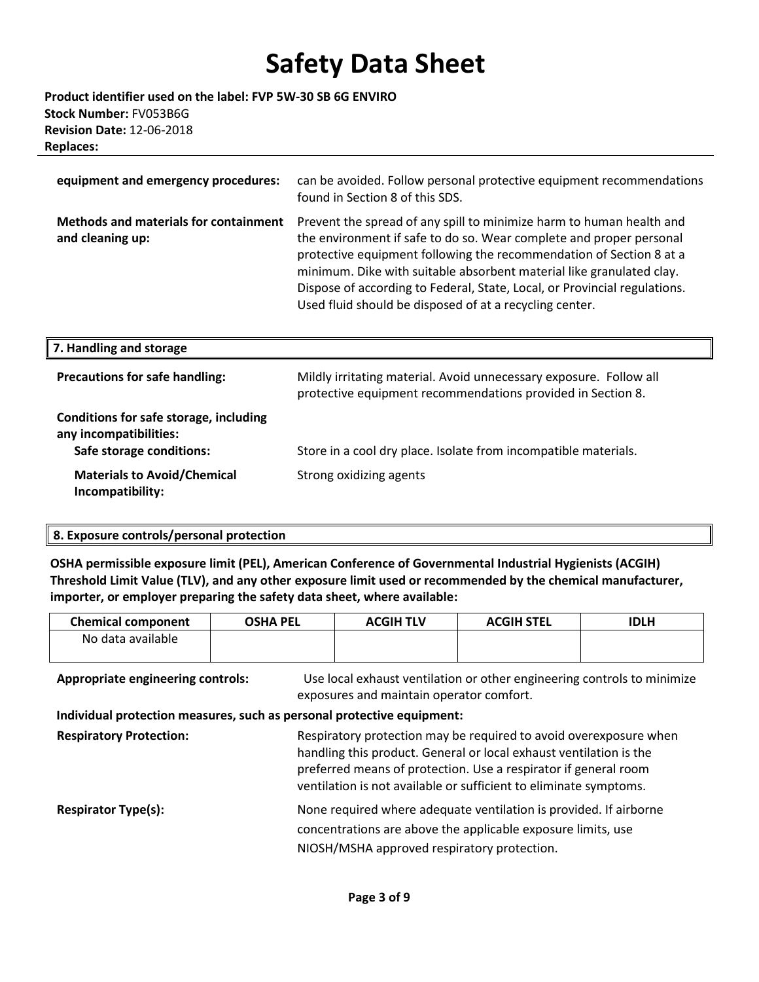**Product identifier used on the label: FVP 5W-30 SB 6G ENVIRO Stock Number:** FV053B6G **Revision Date:** 12-06-2018 **Replaces:** 

| equipment and emergency procedures:                              | can be avoided. Follow personal protective equipment recommendations<br>found in Section 8 of this SDS.                                                                                                                                                                                                                                                                                                                            |
|------------------------------------------------------------------|------------------------------------------------------------------------------------------------------------------------------------------------------------------------------------------------------------------------------------------------------------------------------------------------------------------------------------------------------------------------------------------------------------------------------------|
| <b>Methods and materials for containment</b><br>and cleaning up: | Prevent the spread of any spill to minimize harm to human health and<br>the environment if safe to do so. Wear complete and proper personal<br>protective equipment following the recommendation of Section 8 at a<br>minimum. Dike with suitable absorbent material like granulated clay.<br>Dispose of according to Federal, State, Local, or Provincial regulations.<br>Used fluid should be disposed of at a recycling center. |

| 7. Handling and storage                                                                      |                                                                                                                                   |
|----------------------------------------------------------------------------------------------|-----------------------------------------------------------------------------------------------------------------------------------|
| <b>Precautions for safe handling:</b>                                                        | Mildly irritating material. Avoid unnecessary exposure. Follow all<br>protective equipment recommendations provided in Section 8. |
| Conditions for safe storage, including<br>any incompatibilities:<br>Safe storage conditions: | Store in a cool dry place. Isolate from incompatible materials.                                                                   |
| <b>Materials to Avoid/Chemical</b><br>Incompatibility:                                       | Strong oxidizing agents                                                                                                           |

### **8. Exposure controls/personal protection**

**OSHA permissible exposure limit (PEL), American Conference of Governmental Industrial Hygienists (ACGIH) Threshold Limit Value (TLV), and any other exposure limit used or recommended by the chemical manufacturer, importer, or employer preparing the safety data sheet, where available:**

| <b>Chemical component</b>                                                                                          | <b>OSHA PEL</b> | <b>ACGIH TLV</b>                                                                                                                                                                                                                                                                | <b>ACGIH STEL</b> | <b>IDLH</b> |
|--------------------------------------------------------------------------------------------------------------------|-----------------|---------------------------------------------------------------------------------------------------------------------------------------------------------------------------------------------------------------------------------------------------------------------------------|-------------------|-------------|
| No data available                                                                                                  |                 |                                                                                                                                                                                                                                                                                 |                   |             |
| <b>Appropriate engineering controls:</b><br>Individual protection measures, such as personal protective equipment: |                 | Use local exhaust ventilation or other engineering controls to minimize<br>exposures and maintain operator comfort.                                                                                                                                                             |                   |             |
| <b>Respiratory Protection:</b>                                                                                     |                 | Respiratory protection may be required to avoid overexposure when<br>handling this product. General or local exhaust ventilation is the<br>preferred means of protection. Use a respirator if general room<br>ventilation is not available or sufficient to eliminate symptoms. |                   |             |
| <b>Respirator Type(s):</b>                                                                                         |                 | None required where adequate ventilation is provided. If airborne<br>concentrations are above the applicable exposure limits, use<br>NIOSH/MSHA approved respiratory protection.                                                                                                |                   |             |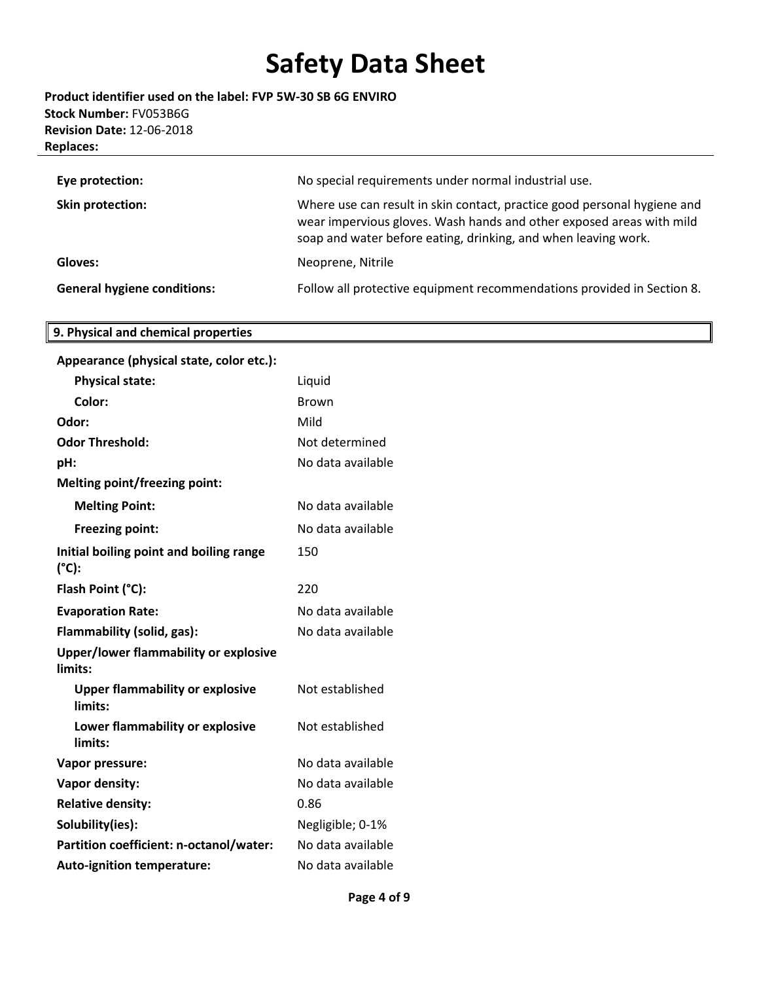**Product identifier used on the label: FVP 5W-30 SB 6G ENVIRO Stock Number:** FV053B6G **Revision Date:** 12-06-2018 **Replaces:** 

| Eye protection:                    | No special requirements under normal industrial use.                                                                                                                                                               |
|------------------------------------|--------------------------------------------------------------------------------------------------------------------------------------------------------------------------------------------------------------------|
| Skin protection:                   | Where use can result in skin contact, practice good personal hygiene and<br>wear impervious gloves. Wash hands and other exposed areas with mild<br>soap and water before eating, drinking, and when leaving work. |
| Gloves:                            | Neoprene, Nitrile                                                                                                                                                                                                  |
| <b>General hygiene conditions:</b> | Follow all protective equipment recommendations provided in Section 8.                                                                                                                                             |

# **9. Physical and chemical properties**

| Appearance (physical state, color etc.):                   |                   |
|------------------------------------------------------------|-------------------|
| <b>Physical state:</b>                                     | Liquid            |
| Color:                                                     | <b>Brown</b>      |
| Odor:                                                      | Mild              |
| <b>Odor Threshold:</b>                                     | Not determined    |
| pH:                                                        | No data available |
| <b>Melting point/freezing point:</b>                       |                   |
| <b>Melting Point:</b>                                      | No data available |
| <b>Freezing point:</b>                                     | No data available |
| Initial boiling point and boiling range<br>$(^{\circ}C)$ : | 150               |
| Flash Point (°C):                                          | 220               |
| <b>Evaporation Rate:</b>                                   | No data available |
| Flammability (solid, gas):                                 | No data available |
| Upper/lower flammability or explosive<br>limits:           |                   |
| <b>Upper flammability or explosive</b><br>limits:          | Not established   |
| Lower flammability or explosive<br>limits:                 | Not established   |
| Vapor pressure:                                            | No data available |
| Vapor density:                                             | No data available |
| <b>Relative density:</b>                                   | 0.86              |
| Solubility(ies):                                           | Negligible; 0-1%  |
| Partition coefficient: n-octanol/water:                    | No data available |
| <b>Auto-ignition temperature:</b>                          | No data available |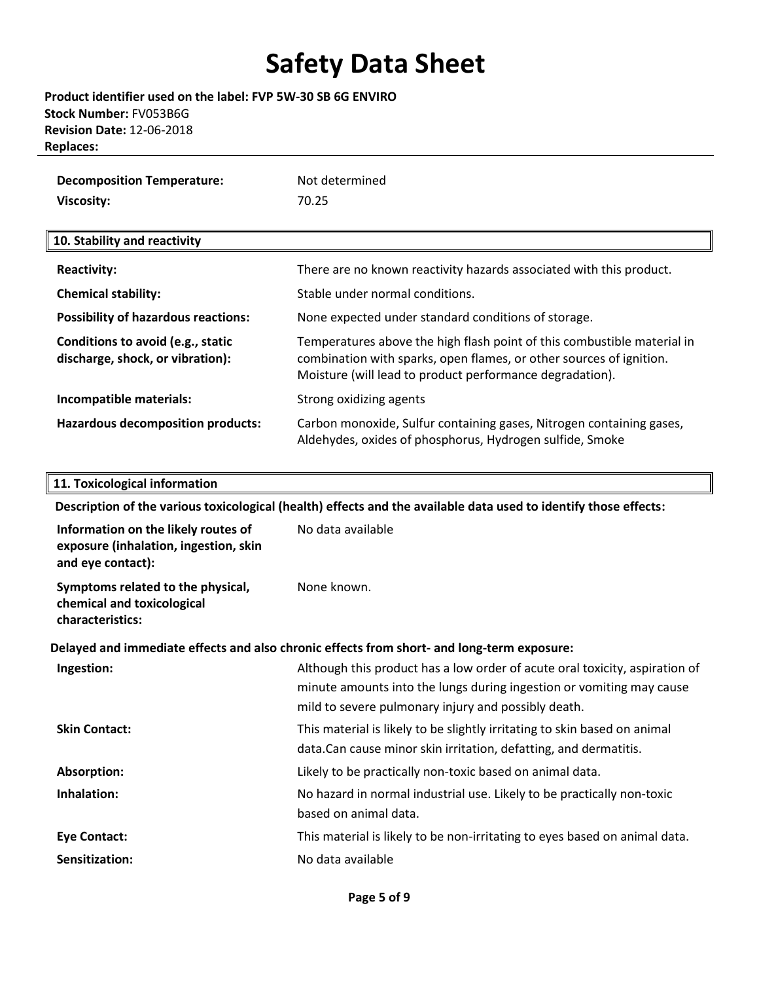**Product identifier used on the label: FVP 5W-30 SB 6G ENVIRO Stock Number:** FV053B6G **Revision Date:** 12-06-2018 **Replaces:** 

| <b>Decomposition Temperature:</b> | Not determined |
|-----------------------------------|----------------|
| Viscosity:                        | 70.25          |

### **10. Stability and reactivity**

| <b>Reactivity:</b>                                                    | There are no known reactivity hazards associated with this product.                                                                                                                                        |
|-----------------------------------------------------------------------|------------------------------------------------------------------------------------------------------------------------------------------------------------------------------------------------------------|
| <b>Chemical stability:</b>                                            | Stable under normal conditions.                                                                                                                                                                            |
| <b>Possibility of hazardous reactions:</b>                            | None expected under standard conditions of storage.                                                                                                                                                        |
| Conditions to avoid (e.g., static<br>discharge, shock, or vibration): | Temperatures above the high flash point of this combustible material in<br>combination with sparks, open flames, or other sources of ignition.<br>Moisture (will lead to product performance degradation). |
| Incompatible materials:                                               | Strong oxidizing agents                                                                                                                                                                                    |
| <b>Hazardous decomposition products:</b>                              | Carbon monoxide, Sulfur containing gases, Nitrogen containing gases,<br>Aldehydes, oxides of phosphorus, Hydrogen sulfide, Smoke                                                                           |

#### **11. Toxicological information**

**Description of the various toxicological (health) effects and the available data used to identify those effects: Information on the likely routes of exposure (inhalation, ingestion, skin and eye contact):**  No data available **Symptoms related to the physical, chemical and toxicological characteristics:** None known. **Delayed and immediate effects and also chronic effects from short- and long-term exposure: Ingestion:** Although this product has a low order of acute oral toxicity, aspiration of minute amounts into the lungs during ingestion or vomiting may cause mild to severe pulmonary injury and possibly death. **Skin Contact:** This material is likely to be slightly irritating to skin based on animal data.Can cause minor skin irritation, defatting, and dermatitis. **Absorption:** Likely to be practically non-toxic based on animal data. **Inhalation:** No hazard in normal industrial use. Likely to be practically non-toxic based on animal data. **Eye Contact:** This material is likely to be non-irritating to eyes based on animal data. **Sensitization:** No data available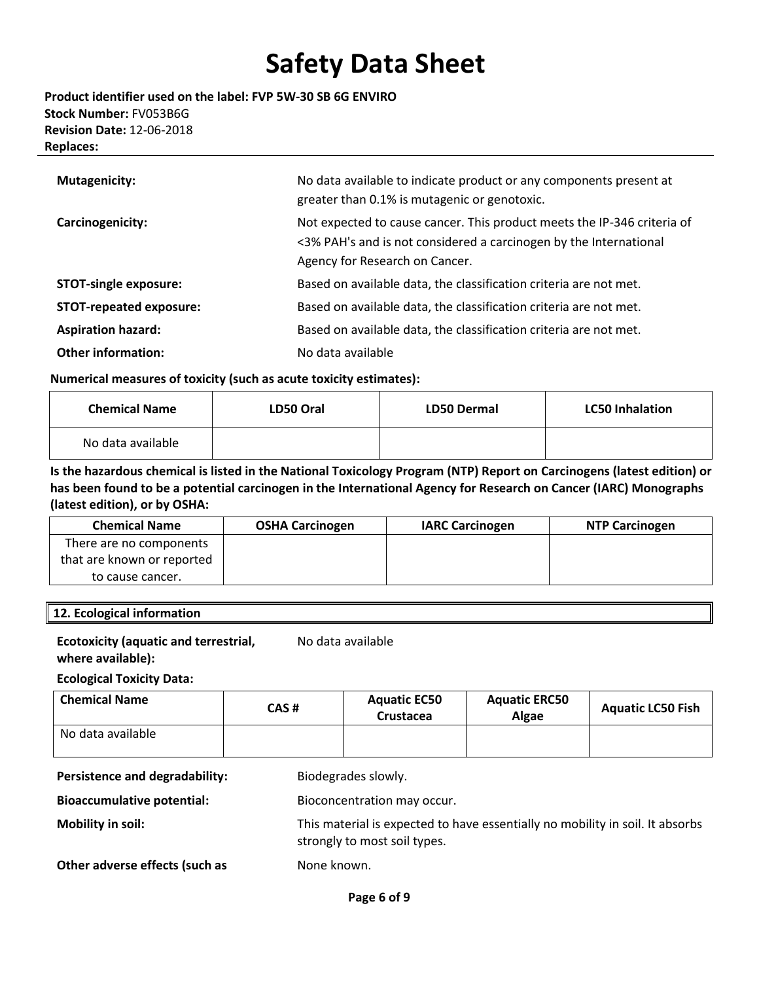### **Product identifier used on the label: FVP 5W-30 SB 6G ENVIRO Stock Number:** FV053B6G **Revision Date:** 12-06-2018 **Replaces:**

| <b>Mutagenicity:</b>           | No data available to indicate product or any components present at<br>greater than 0.1% is mutagenic or genotoxic.                                                             |
|--------------------------------|--------------------------------------------------------------------------------------------------------------------------------------------------------------------------------|
| Carcinogenicity:               | Not expected to cause cancer. This product meets the IP-346 criteria of<br><3% PAH's and is not considered a carcinogen by the International<br>Agency for Research on Cancer. |
| <b>STOT-single exposure:</b>   | Based on available data, the classification criteria are not met.                                                                                                              |
| <b>STOT-repeated exposure:</b> | Based on available data, the classification criteria are not met.                                                                                                              |
| <b>Aspiration hazard:</b>      | Based on available data, the classification criteria are not met.                                                                                                              |
| <b>Other information:</b>      | No data available                                                                                                                                                              |

### **Numerical measures of toxicity (such as acute toxicity estimates):**

| <b>Chemical Name</b> | LD50 Oral | <b>LD50 Dermal</b> | <b>LC50 Inhalation</b> |
|----------------------|-----------|--------------------|------------------------|
| No data available    |           |                    |                        |

### **Is the hazardous chemical is listed in the National Toxicology Program (NTP) Report on Carcinogens (latest edition) or has been found to be a potential carcinogen in the International Agency for Research on Cancer (IARC) Monographs (latest edition), or by OSHA:**

| <b>Chemical Name</b>       | <b>OSHA Carcinogen</b> | <b>IARC Carcinogen</b> | <b>NTP Carcinogen</b> |
|----------------------------|------------------------|------------------------|-----------------------|
| There are no components    |                        |                        |                       |
| that are known or reported |                        |                        |                       |
| to cause cancer.           |                        |                        |                       |

### **12. Ecological information**

#### **Ecotoxicity (aquatic and terrestrial, where available):** No data available

## **Ecological Toxicity Data:**

| <b>Chemical Name</b> | CAS # | <b>Aquatic EC50</b><br>Crustacea | <b>Aquatic ERC50</b><br>Algae | <b>Aquatic LC50 Fish</b> |
|----------------------|-------|----------------------------------|-------------------------------|--------------------------|
| No data available    |       |                                  |                               |                          |

Persistence and degradability: Biodegrades slowly.

**Bioaccumulative potential:** Bioconcentration may occur.

**Mobility in soil:** This material is expected to have essentially no mobility in soil. It absorbs strongly to most soil types.

**Other adverse effects (such as <br>
None known.**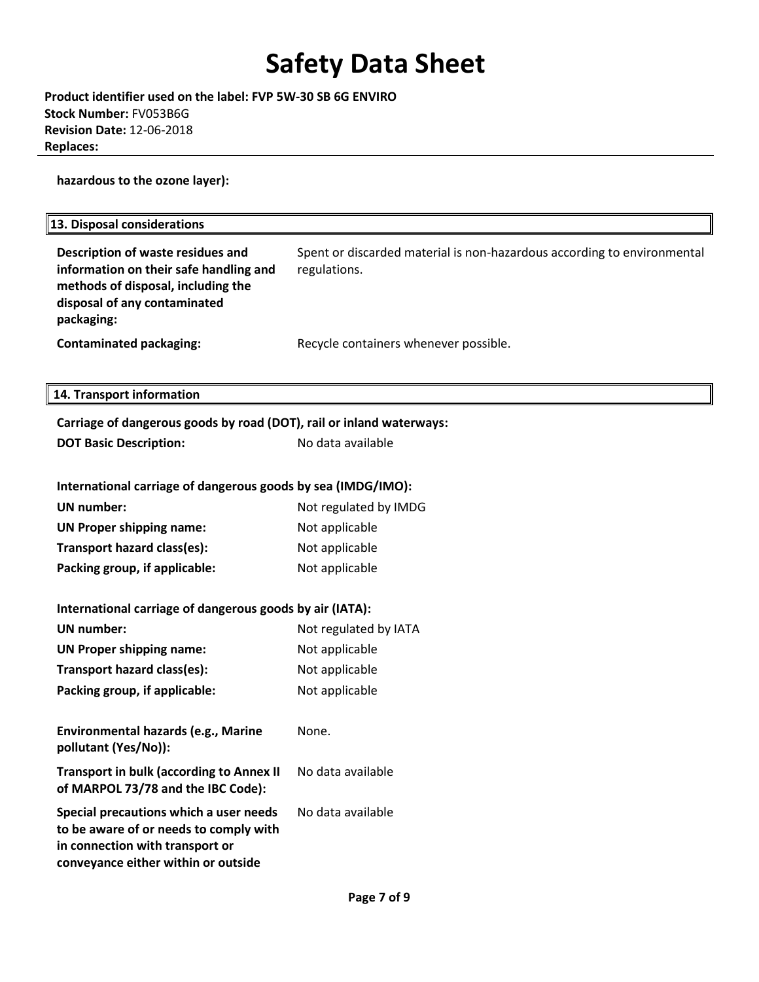**Product identifier used on the label: FVP 5W-30 SB 6G ENVIRO Stock Number:** FV053B6G **Revision Date:** 12-06-2018 **Replaces:** 

**hazardous to the ozone layer):**

| 13. Disposal considerations                                                                                                                                     |                                                                                         |
|-----------------------------------------------------------------------------------------------------------------------------------------------------------------|-----------------------------------------------------------------------------------------|
| Description of waste residues and<br>information on their safe handling and<br>methods of disposal, including the<br>disposal of any contaminated<br>packaging: | Spent or discarded material is non-hazardous according to environmental<br>regulations. |
| <b>Contaminated packaging:</b>                                                                                                                                  | Recycle containers whenever possible.                                                   |
| 14. Transport information                                                                                                                                       |                                                                                         |
| Carriage of dangerous goods by road (DOT), rail or inland waterways:                                                                                            |                                                                                         |
| <b>DOT Basic Description:</b>                                                                                                                                   | No data available                                                                       |
|                                                                                                                                                                 |                                                                                         |
| International carriage of dangerous goods by sea (IMDG/IMO):                                                                                                    |                                                                                         |
| <b>UN</b> number:                                                                                                                                               | Not regulated by IMDG                                                                   |
| <b>UN Proper shipping name:</b>                                                                                                                                 | Not applicable                                                                          |
| Transport hazard class(es):                                                                                                                                     | Not applicable                                                                          |
| Packing group, if applicable:                                                                                                                                   | Not applicable                                                                          |
| International carriage of dangerous goods by air (IATA):                                                                                                        |                                                                                         |
| <b>UN</b> number:                                                                                                                                               | Not regulated by IATA                                                                   |
| <b>UN Proper shipping name:</b>                                                                                                                                 | Not applicable                                                                          |
| Transport hazard class(es):                                                                                                                                     | Not applicable                                                                          |
| Packing group, if applicable:                                                                                                                                   | Not applicable                                                                          |
|                                                                                                                                                                 |                                                                                         |
| Environmental hazards (e.g., Marine<br>pollutant (Yes/No)):                                                                                                     | None.                                                                                   |
| <b>Transport in bulk (according to Annex II</b><br>of MARPOL 73/78 and the IBC Code):                                                                           | No data available                                                                       |
| Special precautions which a user needs<br>to be aware of or needs to comply with<br>in connection with transport or<br>conveyance either within or outside      | No data available                                                                       |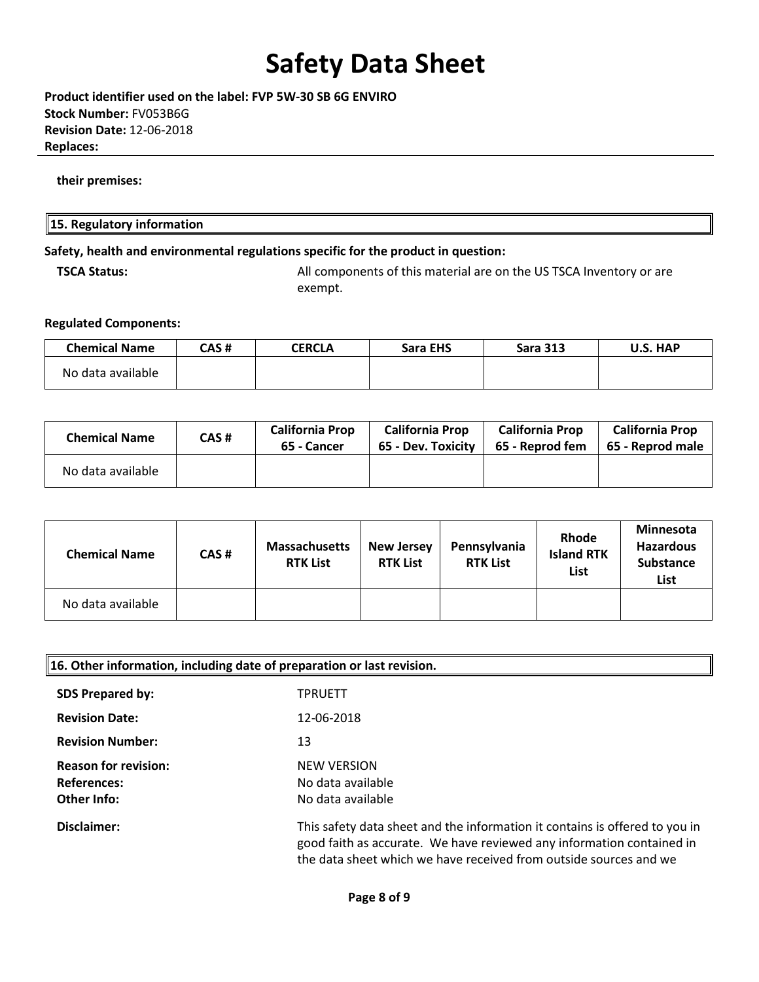**Product identifier used on the label: FVP 5W-30 SB 6G ENVIRO Stock Number:** FV053B6G **Revision Date:** 12-06-2018 **Replaces:** 

**their premises:** 

### **15. Regulatory information**

### **Safety, health and environmental regulations specific for the product in question:**

**TSCA Status:** All components of this material are on the US TSCA Inventory or are exempt.

#### **Regulated Components:**

| <b>Chemical Name</b> | CAS # | CERCLA | <b>Sara EHS</b> | <b>Sara 313</b> | U.S. HAP |
|----------------------|-------|--------|-----------------|-----------------|----------|
| No data available    |       |        |                 |                 |          |

| <b>Chemical Name</b> | CAS# | <b>California Prop</b><br>65 - Cancer | <b>California Prop</b><br>65 - Dev. Toxicity | <b>California Prop</b><br>65 - Reprod fem | <b>California Prop</b><br>65 - Reprod male |
|----------------------|------|---------------------------------------|----------------------------------------------|-------------------------------------------|--------------------------------------------|
| No data available    |      |                                       |                                              |                                           |                                            |

| <b>Chemical Name</b> | CAS# | <b>Massachusetts</b><br><b>RTK List</b> | <b>New Jersey</b><br><b>RTK List</b> | Pennsylvania<br><b>RTK List</b> | <b>Rhode</b><br><b>Island RTK</b><br>List | Minnesota<br><b>Hazardous</b><br><b>Substance</b><br>List |
|----------------------|------|-----------------------------------------|--------------------------------------|---------------------------------|-------------------------------------------|-----------------------------------------------------------|
| No data available    |      |                                         |                                      |                                 |                                           |                                                           |

| 16. Other information, including date of preparation or last revision. |                                                                                                                                                                                                                           |  |
|------------------------------------------------------------------------|---------------------------------------------------------------------------------------------------------------------------------------------------------------------------------------------------------------------------|--|
| <b>SDS Prepared by:</b>                                                | <b>TPRUETT</b>                                                                                                                                                                                                            |  |
| <b>Revision Date:</b>                                                  | 12-06-2018                                                                                                                                                                                                                |  |
| <b>Revision Number:</b>                                                | 13                                                                                                                                                                                                                        |  |
| <b>Reason for revision:</b>                                            | <b>NEW VERSION</b>                                                                                                                                                                                                        |  |
| <b>References:</b>                                                     | No data available                                                                                                                                                                                                         |  |
| Other Info:                                                            | No data available                                                                                                                                                                                                         |  |
| Disclaimer:                                                            | This safety data sheet and the information it contains is offered to you in<br>good faith as accurate. We have reviewed any information contained in<br>the data sheet which we have received from outside sources and we |  |